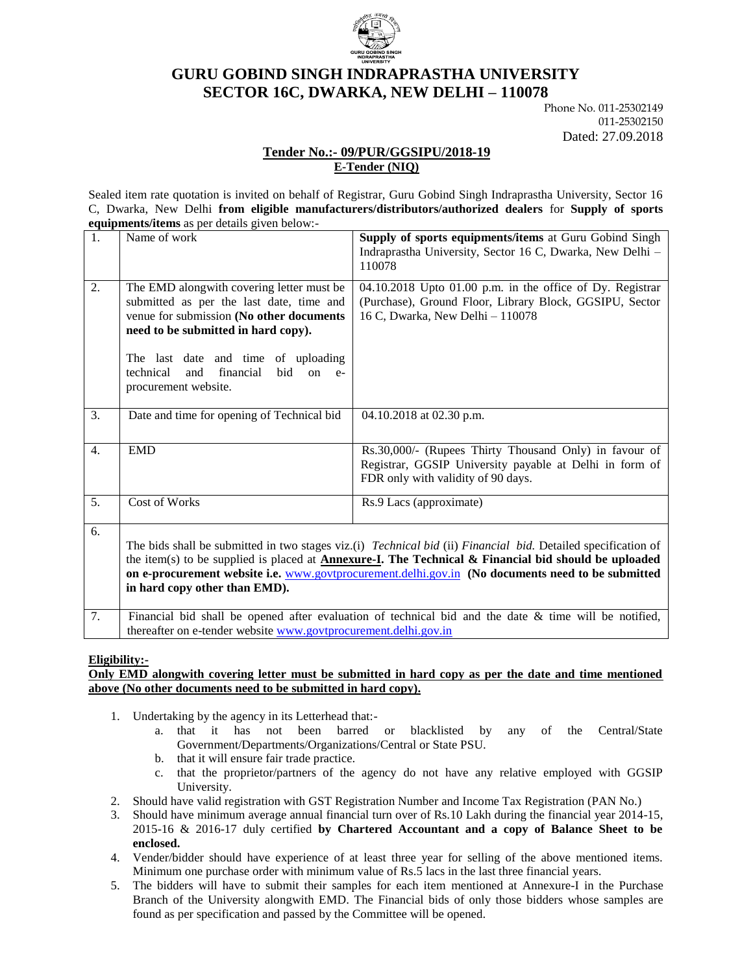

# **GURU GOBIND SINGH INDRAPRASTHA UNIVERSITY SECTOR 16C, DWARKA, NEW DELHI – 110078**

Phone No. 011-25302149 011-25302150 Dated: 27.09.2018

## **Tender No.:- 09/PUR/GGSIPU/2018-19 E-Tender (NIQ)**

Sealed item rate quotation is invited on behalf of Registrar, Guru Gobind Singh Indraprastha University, Sector 16 C, Dwarka, New Delhi **from eligible manufacturers/distributors/authorized dealers** for **Supply of sports equipments/items** as per details given below:-

| 2.<br>04.10.2018 Upto 01.00 p.m. in the office of Dy. Registrar<br>The EMD alongwith covering letter must be<br>(Purchase), Ground Floor, Library Block, GGSIPU, Sector<br>submitted as per the last date, time and<br>venue for submission (No other documents<br>16 C, Dwarka, New Delhi - 110078<br>need to be submitted in hard copy).<br>The last date and time of uploading<br>financial<br>technical<br>and<br>bid<br>$on$ $e$ -<br>procurement website. |  |  |  |  |
|-----------------------------------------------------------------------------------------------------------------------------------------------------------------------------------------------------------------------------------------------------------------------------------------------------------------------------------------------------------------------------------------------------------------------------------------------------------------|--|--|--|--|
| 3.<br>Date and time for opening of Technical bid<br>04.10.2018 at 02.30 p.m.                                                                                                                                                                                                                                                                                                                                                                                    |  |  |  |  |
| $\overline{4}$ .<br><b>EMD</b><br>Rs.30,000/- (Rupees Thirty Thousand Only) in favour of<br>Registrar, GGSIP University payable at Delhi in form of<br>FDR only with validity of 90 days.                                                                                                                                                                                                                                                                       |  |  |  |  |
| $\overline{5}$ .<br>Cost of Works<br>Rs.9 Lacs (approximate)                                                                                                                                                                                                                                                                                                                                                                                                    |  |  |  |  |
| The bids shall be submitted in two stages viz.(i) Technical bid (ii) Financial bid. Detailed specification of<br>the item(s) to be supplied is placed at <b>Annexure-I</b> . The Technical $\&$ Financial bid should be uploaded<br>on e-procurement website i.e. www.govtprocurement.delhi.gov.in (No documents need to be submitted<br>in hard copy other than EMD).<br>$\mathbf{E}^{\star}$<br>$\sim$ 1.00 $\times$ 1.1                                      |  |  |  |  |

Financial bid shall be opened after evaluation of technical bid and the date  $\&$  time will be notified, thereafter on e-tender website [www.govtprocurement.delhi.gov.in](http://www.govtprocurement.delhi..gov.in/)

### **Eligibility:-**

#### **Only EMD alongwith covering letter must be submitted in hard copy as per the date and time mentioned above (No other documents need to be submitted in hard copy).**

- 1. Undertaking by the agency in its Letterhead that:
	- a. that it has not been barred or blacklisted by any of the Central/State Government/Departments/Organizations/Central or State PSU.
	- b. that it will ensure fair trade practice.
	- c. that the proprietor/partners of the agency do not have any relative employed with GGSIP University.
- 2. Should have valid registration with GST Registration Number and Income Tax Registration (PAN No.)
- 3. Should have minimum average annual financial turn over of Rs.10 Lakh during the financial year 2014-15, 2015-16 & 2016-17 duly certified **by Chartered Accountant and a copy of Balance Sheet to be enclosed.**
- 4. Vender/bidder should have experience of at least three year for selling of the above mentioned items. Minimum one purchase order with minimum value of Rs.5 lacs in the last three financial years.
- 5. The bidders will have to submit their samples for each item mentioned at Annexure-I in the Purchase Branch of the University alongwith EMD. The Financial bids of only those bidders whose samples are found as per specification and passed by the Committee will be opened.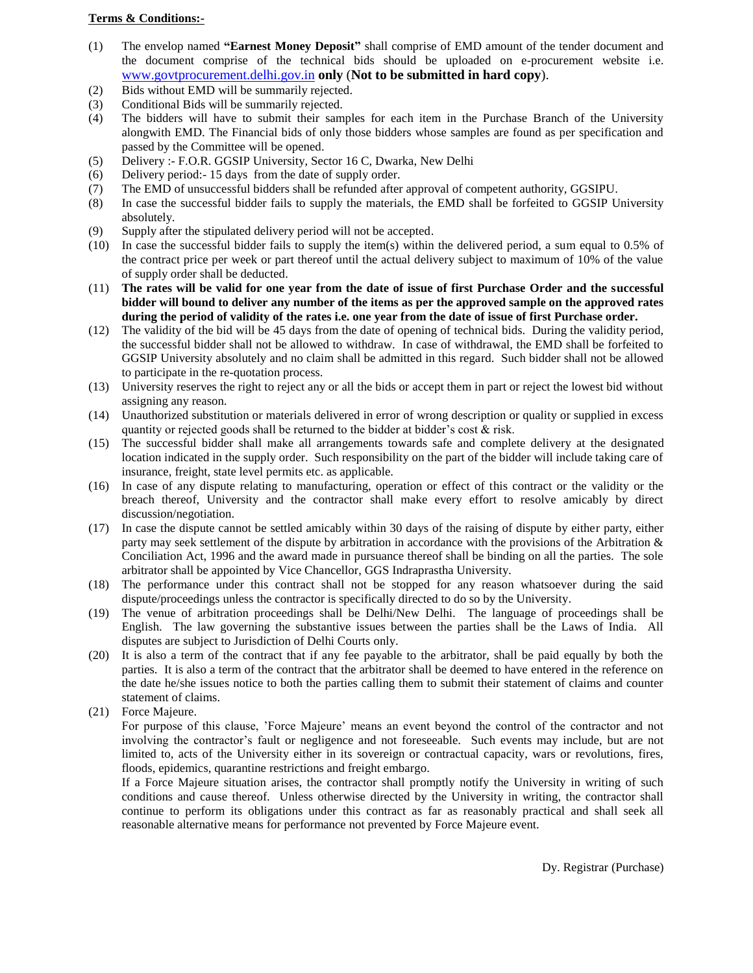#### **Terms & Conditions:-**

- (1) The envelop named **"Earnest Money Deposit"** shall comprise of EMD amount of the tender document and the document comprise of the technical bids should be uploaded on e-procurement website i.e. [www.govtprocurement.delhi.gov.in](http://www.govtprocurement.delhi..gov.in/) **only** (**Not to be submitted in hard copy**).
- (2) Bids without EMD will be summarily rejected.
- (3) Conditional Bids will be summarily rejected.
- (4) The bidders will have to submit their samples for each item in the Purchase Branch of the University alongwith EMD. The Financial bids of only those bidders whose samples are found as per specification and passed by the Committee will be opened.
- (5) Delivery :- F.O.R. GGSIP University, Sector 16 C, Dwarka, New Delhi
- (6) Delivery period:- 15 days from the date of supply order.
- (7) The EMD of unsuccessful bidders shall be refunded after approval of competent authority, GGSIPU.
- (8) In case the successful bidder fails to supply the materials, the EMD shall be forfeited to GGSIP University absolutely.
- (9) Supply after the stipulated delivery period will not be accepted.
- (10) In case the successful bidder fails to supply the item(s) within the delivered period, a sum equal to 0.5% of the contract price per week or part thereof until the actual delivery subject to maximum of 10% of the value of supply order shall be deducted.
- (11) **The rates will be valid for one year from the date of issue of first Purchase Order and the successful bidder will bound to deliver any number of the items as per the approved sample on the approved rates during the period of validity of the rates i.e. one year from the date of issue of first Purchase order.**
- (12) The validity of the bid will be 45 days from the date of opening of technical bids. During the validity period, the successful bidder shall not be allowed to withdraw. In case of withdrawal, the EMD shall be forfeited to GGSIP University absolutely and no claim shall be admitted in this regard. Such bidder shall not be allowed to participate in the re-quotation process.
- (13) University reserves the right to reject any or all the bids or accept them in part or reject the lowest bid without assigning any reason.
- (14) Unauthorized substitution or materials delivered in error of wrong description or quality or supplied in excess quantity or rejected goods shall be returned to the bidder at bidder's cost & risk.
- (15) The successful bidder shall make all arrangements towards safe and complete delivery at the designated location indicated in the supply order. Such responsibility on the part of the bidder will include taking care of insurance, freight, state level permits etc. as applicable.
- (16) In case of any dispute relating to manufacturing, operation or effect of this contract or the validity or the breach thereof, University and the contractor shall make every effort to resolve amicably by direct discussion/negotiation.
- (17) In case the dispute cannot be settled amicably within 30 days of the raising of dispute by either party, either party may seek settlement of the dispute by arbitration in accordance with the provisions of the Arbitration & Conciliation Act, 1996 and the award made in pursuance thereof shall be binding on all the parties. The sole arbitrator shall be appointed by Vice Chancellor, GGS Indraprastha University.
- (18) The performance under this contract shall not be stopped for any reason whatsoever during the said dispute/proceedings unless the contractor is specifically directed to do so by the University.
- (19) The venue of arbitration proceedings shall be Delhi/New Delhi. The language of proceedings shall be English. The law governing the substantive issues between the parties shall be the Laws of India. All disputes are subject to Jurisdiction of Delhi Courts only.
- (20) It is also a term of the contract that if any fee payable to the arbitrator, shall be paid equally by both the parties. It is also a term of the contract that the arbitrator shall be deemed to have entered in the reference on the date he/she issues notice to both the parties calling them to submit their statement of claims and counter statement of claims.
- (21) Force Majeure.

For purpose of this clause, 'Force Majeure' means an event beyond the control of the contractor and not involving the contractor's fault or negligence and not foreseeable. Such events may include, but are not limited to, acts of the University either in its sovereign or contractual capacity, wars or revolutions, fires, floods, epidemics, quarantine restrictions and freight embargo.

If a Force Majeure situation arises, the contractor shall promptly notify the University in writing of such conditions and cause thereof. Unless otherwise directed by the University in writing, the contractor shall continue to perform its obligations under this contract as far as reasonably practical and shall seek all reasonable alternative means for performance not prevented by Force Majeure event.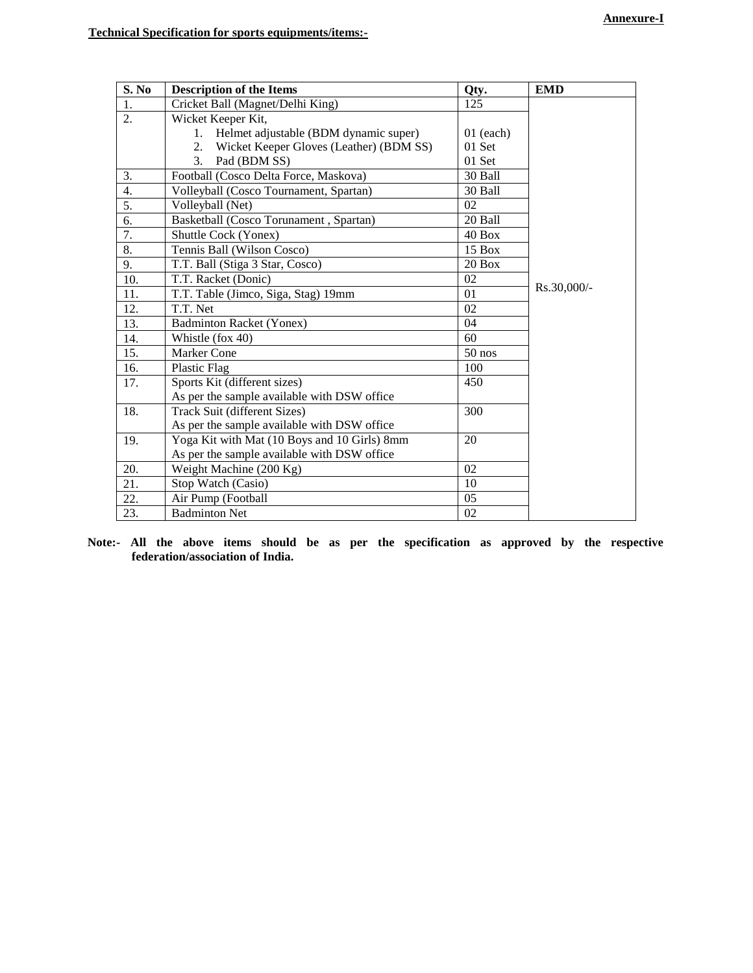| S. No            | <b>Description of the Items</b>                      | Qty.        | <b>EMD</b>  |
|------------------|------------------------------------------------------|-------------|-------------|
| 1.               | Cricket Ball (Magnet/Delhi King)                     | 125         |             |
| $\overline{2}$ . | Wicket Keeper Kit,                                   |             |             |
|                  | Helmet adjustable (BDM dynamic super)<br>$1_{\cdot}$ | $01$ (each) |             |
|                  | Wicket Keeper Gloves (Leather) (BDM SS)<br>2.        | 01 Set      |             |
|                  | 3.<br>Pad (BDM SS)                                   | 01 Set      |             |
| 3.               | Football (Cosco Delta Force, Maskova)                | 30 Ball     |             |
| 4.               | Volleyball (Cosco Tournament, Spartan)               | 30 Ball     |             |
| 5.               | Volleyball (Net)                                     | 02          |             |
| 6.               | Basketball (Cosco Torunament, Spartan)               | 20 Ball     |             |
| $\overline{7}$ . | Shuttle Cock (Yonex)                                 | $40$ Box    |             |
| 8.               | Tennis Ball (Wilson Cosco)                           | 15 Box      |             |
| 9.               | T.T. Ball (Stiga 3 Star, Cosco)                      | $20$ Box    |             |
| 10.              | T.T. Racket (Donic)                                  | 02          |             |
| 11.              | T.T. Table (Jimco, Siga, Stag) 19mm                  | 01          | Rs.30,000/- |
| 12.              | T.T. Net                                             | 02          |             |
| 13.              | <b>Badminton Racket (Yonex)</b>                      | 04          |             |
| 14.              | Whistle (fox 40)                                     | 60          |             |
| 15.              | <b>Marker Cone</b>                                   | $50$ nos    |             |
| 16.              | Plastic Flag                                         | 100         |             |
| 17.              | Sports Kit (different sizes)                         | 450         |             |
|                  | As per the sample available with DSW office          |             |             |
| 18.              | Track Suit (different Sizes)                         | 300         |             |
|                  | As per the sample available with DSW office          |             |             |
| 19.              | Yoga Kit with Mat (10 Boys and 10 Girls) 8mm         | 20          |             |
|                  | As per the sample available with DSW office          |             |             |
| 20.              | Weight Machine (200 Kg)                              | 02          |             |
| 21.              | Stop Watch (Casio)                                   | 10          |             |
| 22.              | Air Pump (Football                                   | 05          |             |
| 23.              | <b>Badminton Net</b>                                 | 02          |             |

**Note:- All the above items should be as per the specification as approved by the respective federation/association of India.**